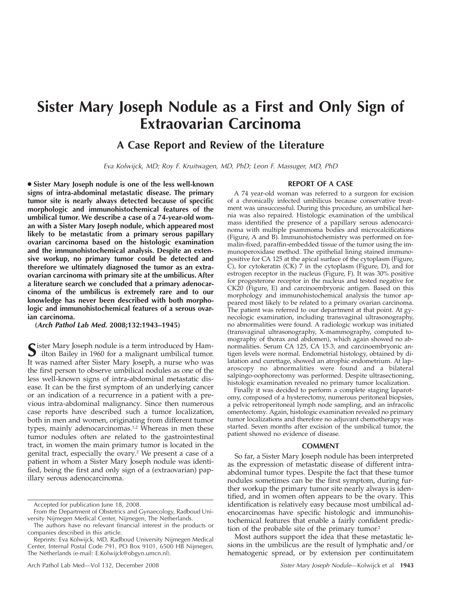# **Sister Mary Joseph Nodule as a First and Only Sign of Extraovarian Carcinoma**

## **A Case Report and Review of the Literature**

*Eva Kolwijck, MD; Roy F. Kruitwagen, MD, PhD; Leon F. Massuger, MD, PhD*

● **Sister Mary Joseph nodule is one of the less well-known signs of intra-abdominal metastatic disease. The primary tumor site is nearly always detected because of specific morphologic and immunohistochemical features of the umbilical tumor. We describe a case of a 74-year-old woman with a Sister Mary Joseph nodule, which appeared most likely to be metastatic from a primary serous papillary ovarian carcinoma based on the histologic examination and the immunohistochemical analysis. Despite an extensive workup, no primary tumor could be detected and therefore we ultimately diagnosed the tumor as an extraovarian carcinoma with primary site at the umbilicus. After a literature search we concluded that a primary adenocarcinoma of the umbilicus is extremely rare and to our knowledge has never been described with both morphologic and immunohistochemical features of a serous ovarian carcinoma.**

**(***Arch Pathol Lab Med.* **2008;132:1943–1945)**

Sister Mary Joseph nodule is a term introduced by Ham-<br>ilton Bailey in 1960 for a malignant umbilical tumor. It was named after Sister Mary Joseph, a nurse who was the first person to observe umbilical nodules as one of the less well-known signs of intra-abdominal metastatic disease. It can be the first symptom of an underlying cancer or an indication of a recurrence in a patient with a previous intra-abdominal malignancy. Since then numerous case reports have described such a tumor localization, both in men and women, originating from different tumor types, mainly adenocarcinomas.<sup>1,2</sup> Whereas in men these tumor nodules often are related to the gastrointestinal tract, in women the main primary tumor is located in the genital tract, especially the ovary.<sup>2</sup> We present a case of a patient in whom a Sister Mary Joseph nodule was identified, being the first and only sign of a (extraovarian) papillary serous adenocarcinoma.

#### **REPORT OF A CASE**

A 74 year-old woman was referred to a surgeon for excision of a chronically infected umbilicus because conservative treatment was unsuccessful. During this procedure, an umbilical hernia was also repaired. Histologic examination of the umbilical mass identified the presence of a papillary serous adenocarcinoma with multiple psammoma bodies and microcalcifications (Figure, A and B). Immunohistochemistry was performed on formalin-fixed, paraffin-embedded tissue of the tumor using the immunoperoxidase method. The epithelial lining stained immunopositive for CA 125 at the apical surface of the cytoplasm (Figure, C), for cytokeratin (CK) 7 in the cytoplasm (Figure, D), and for estrogen receptor in the nucleus (Figure, F). It was 30% positive for progesterone receptor in the nucleus and tested negative for CK20 (Figure, E) and carcinoembryonic antigen. Based on this morphology and immunohistochemical analysis the tumor appeared most likely to be related to a primary ovarian carcinoma. The patient was referred to our department at that point. At gynecologic examination, including transvaginal ultrasonography, no abnormalities were found. A radiologic workup was initiated (transvaginal ultrasonography, X-mammography, computed tomography of thorax and abdomen), which again showed no abnormalities. Serum CA 125, CA 15.3, and carcinoembryonic antigen levels were normal. Endometrial histology, obtained by dilatation and curettage, showed an atrophic endometrium. At laparoscopy no abnormalities were found and a bilateral salpingo-oophorectomy was performed. Despite ultrasectioning, histologic examination revealed no primary tumor localization.

Finally it was decided to perform a complete staging laparotomy, composed of a hysterectomy, numerous peritoneal biopsies, a pelvic retroperitoneal lymph node sampling, and an infracolic omentectomy. Again, histologic examination revealed no primary tumor localizations and therefore no adjuvant chemotherapy was started. Seven months after excision of the umbilical tumor, the patient showed no evidence of disease.

### **COMMENT**

So far, a Sister Mary Joseph nodule has been interpreted as the expression of metastatic disease of different intraabdominal tumor types. Despite the fact that these tumor nodules sometimes can be the first symptom, during further workup the primary tumor site nearly always is identified, and in women often appears to be the ovary. This identification is relatively easy because most umbilical adenocarcinomas have specific histologic and immunohistochemical features that enable a fairly confident prediction of the probable site of the primary tumor.2

Most authors support the idea that these metastatic lesions in the umbilicus are the result of lymphatic and/or hematogenic spread, or by extension per continuitatem

Accepted for publication June 18, 2008.

From the Department of Obstetrics and Gynaecology, Radboud University Nijmegen Medical Center, Nijmegen, The Netherlands.

The authors have no relevant financial interest in the products or companies described in this article.

Reprints: Eva Kolwijck, MD, Radboud University Nijmegen Medical Center, Internal Postal Code 791, PO Box 9101, 6500 HB Nijmegen, The Netherlands (e-mail: E.Kolwijck@obgyn.umcn.nl).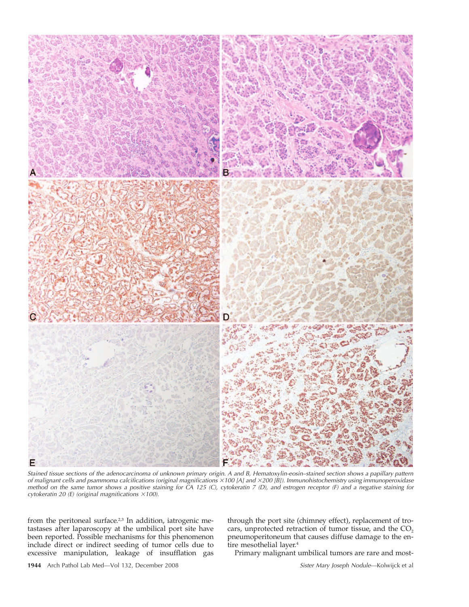

*Stained tissue sections of the adenocarcinoma of unknown primary origin. A and B, Hematoxylin-eosin–stained section shows a papillary pattern of malignant cells and psammoma calcifications (original magnifications* -*100 [A] and* -*200 [B]). Immunohistochemistry using immunoperoxidase method on the same tumor shows a positive staining for CA 125 (C), cytokeratin 7 (D), and estrogen receptor (F) and a negative staining for cytokeratin 20 (E) (original magnifications ×100).* 

from the peritoneal surface.<sup>2,3</sup> In addition, iatrogenic metastases after laparoscopy at the umbilical port site have been reported. Possible mechanisms for this phenomenon include direct or indirect seeding of tumor cells due to excessive manipulation, leakage of insufflation gas

through the port site (chimney effect), replacement of trocars, unprotected retraction of tumor tissue, and the  $CO<sub>2</sub>$ pneumoperitoneum that causes diffuse damage to the entire mesothelial layer.<sup>4</sup>

Primary malignant umbilical tumors are rare and most-